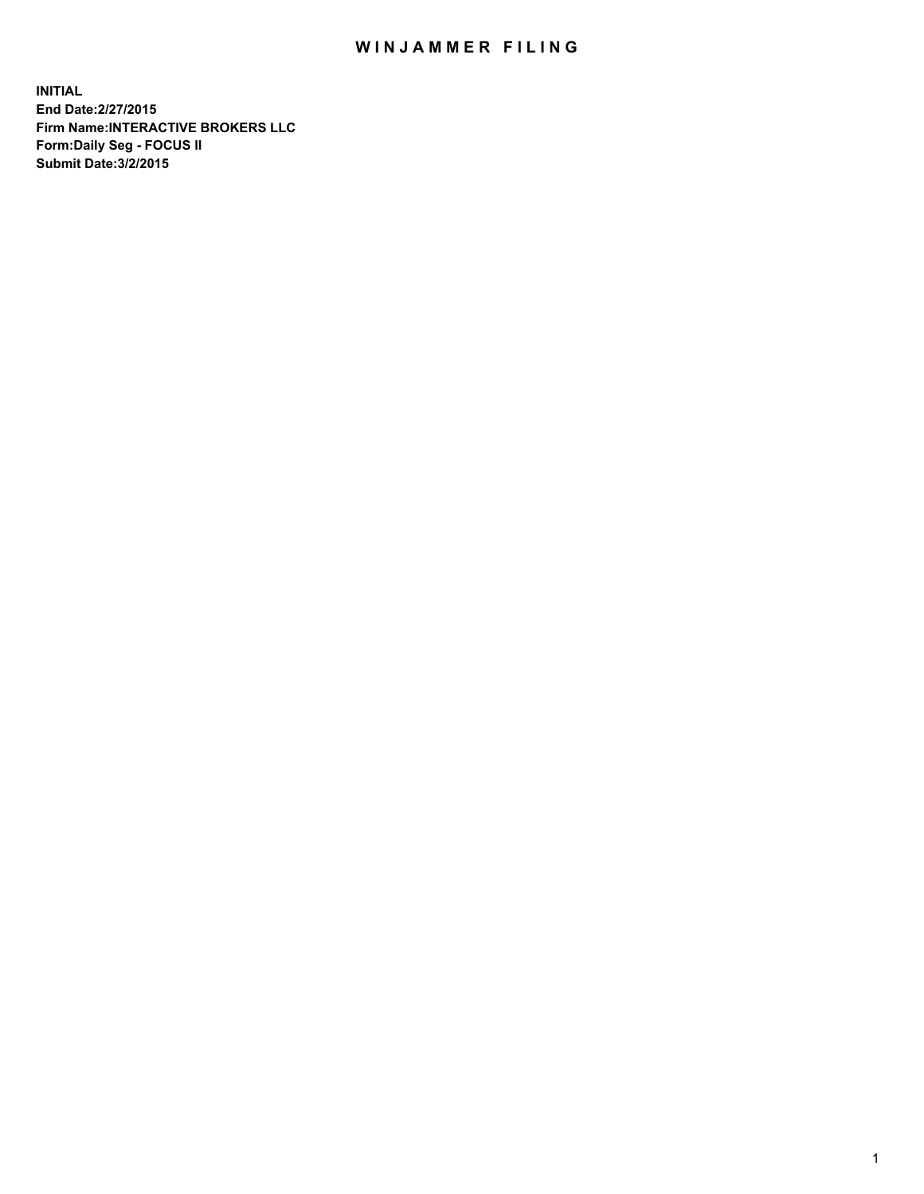## WIN JAMMER FILING

**INITIAL End Date:2/27/2015 Firm Name:INTERACTIVE BROKERS LLC Form:Daily Seg - FOCUS II Submit Date:3/2/2015**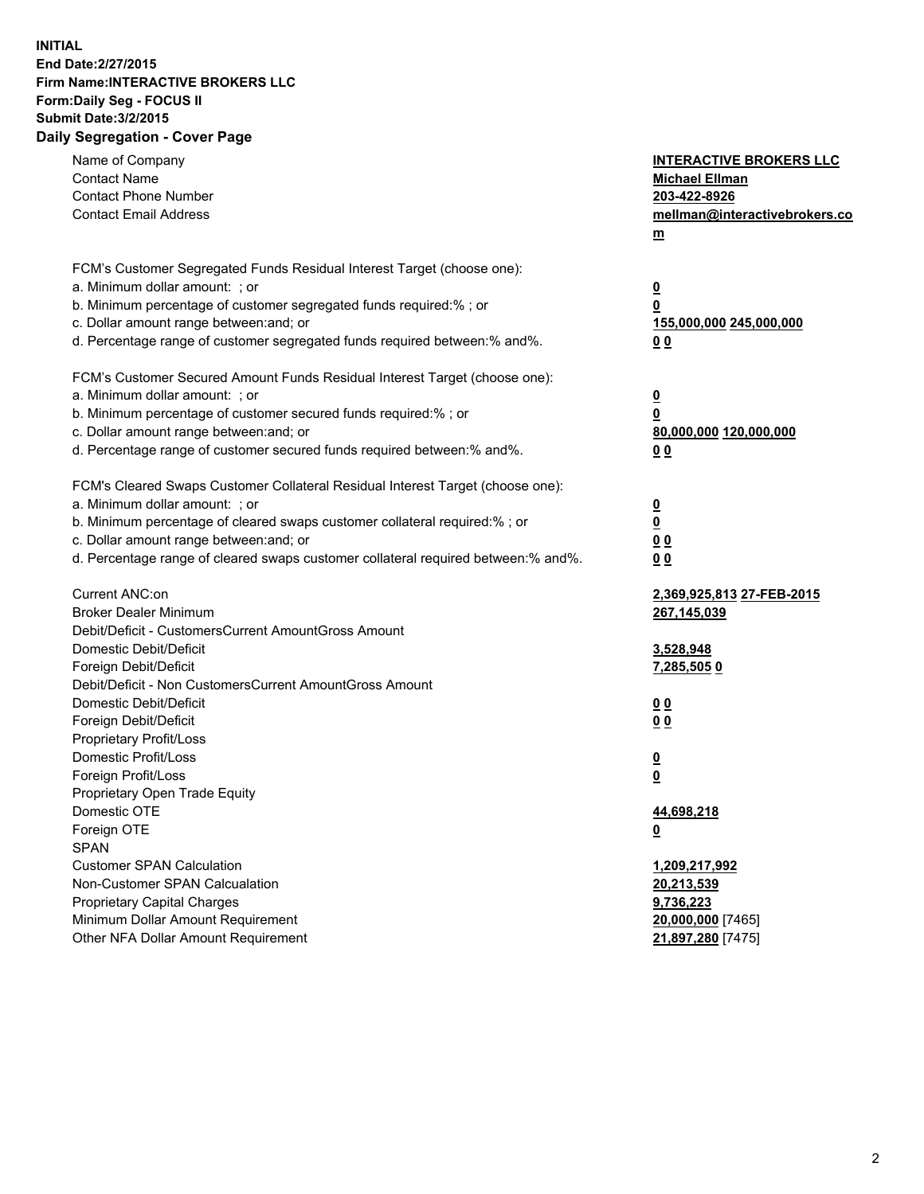## **INITIAL End Date:2/27/2015 Firm Name:INTERACTIVE BROKERS LLC Form:Daily Seg - FOCUS II Submit Date:3/2/2015 Daily Segregation - Cover Page**

| Name of Company<br><b>Contact Name</b><br><b>Contact Phone Number</b><br><b>Contact Email Address</b>                                                                                                                                                                                                                          | <b>INTERACTIVE BROKERS LLC</b><br><b>Michael Ellman</b><br>203-422-8926<br>mellman@interactivebrokers.co<br>m |
|--------------------------------------------------------------------------------------------------------------------------------------------------------------------------------------------------------------------------------------------------------------------------------------------------------------------------------|---------------------------------------------------------------------------------------------------------------|
| FCM's Customer Segregated Funds Residual Interest Target (choose one):<br>a. Minimum dollar amount: ; or<br>b. Minimum percentage of customer segregated funds required:% ; or<br>c. Dollar amount range between: and; or<br>d. Percentage range of customer segregated funds required between:% and%.                         | $\overline{\mathbf{0}}$<br>0<br>155,000,000 245,000,000<br>00                                                 |
| FCM's Customer Secured Amount Funds Residual Interest Target (choose one):<br>a. Minimum dollar amount: ; or<br>b. Minimum percentage of customer secured funds required:% ; or<br>c. Dollar amount range between: and; or<br>d. Percentage range of customer secured funds required between:% and%.                           | $\overline{\mathbf{0}}$<br>0<br>80,000,000 120,000,000<br>0 <sub>0</sub>                                      |
| FCM's Cleared Swaps Customer Collateral Residual Interest Target (choose one):<br>a. Minimum dollar amount: ; or<br>b. Minimum percentage of cleared swaps customer collateral required:% ; or<br>c. Dollar amount range between: and; or<br>d. Percentage range of cleared swaps customer collateral required between:% and%. | $\overline{\mathbf{0}}$<br><u>0</u><br>0 <sub>0</sub><br>0 <sub>0</sub>                                       |
| Current ANC:on<br><b>Broker Dealer Minimum</b><br>Debit/Deficit - CustomersCurrent AmountGross Amount<br>Domestic Debit/Deficit<br>Foreign Debit/Deficit                                                                                                                                                                       | 2,369,925,813 27-FEB-2015<br>267,145,039<br>3,528,948<br><u>7,285,5050</u>                                    |
| Debit/Deficit - Non CustomersCurrent AmountGross Amount<br>Domestic Debit/Deficit<br>Foreign Debit/Deficit<br>Proprietary Profit/Loss<br>Domestic Profit/Loss<br>Foreign Profit/Loss                                                                                                                                           | 0 <sub>0</sub><br>0 <sub>0</sub><br>$\overline{\mathbf{0}}$<br>$\overline{\mathbf{0}}$                        |
| Proprietary Open Trade Equity<br>Domestic OTE<br>Foreign OTE<br><b>SPAN</b><br><b>Customer SPAN Calculation</b>                                                                                                                                                                                                                | 44,698,218<br><u>0</u><br>1,209,217,992                                                                       |
| Non-Customer SPAN Calcualation<br><b>Proprietary Capital Charges</b><br>Minimum Dollar Amount Requirement<br>Other NFA Dollar Amount Requirement                                                                                                                                                                               | 20,213,539<br>9,736,223<br>20,000,000 [7465]<br>21,897,280 [7475]                                             |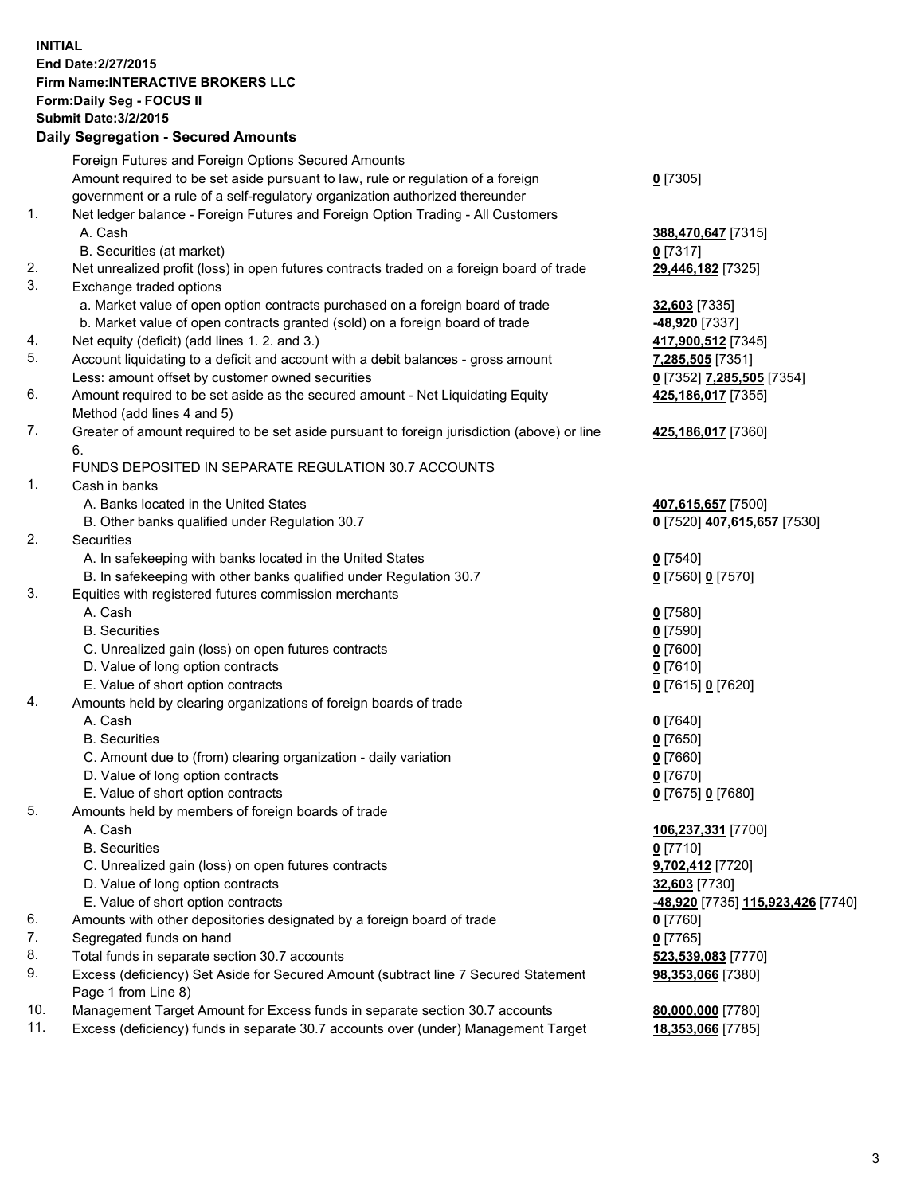## **INITIAL End Date:2/27/2015 Firm Name:INTERACTIVE BROKERS LLC Form:Daily Seg - FOCUS II Submit Date:3/2/2015 Daily Segregation - Secured Amounts**

|     | Foreign Futures and Foreign Options Secured Amounts                                         |                                                 |
|-----|---------------------------------------------------------------------------------------------|-------------------------------------------------|
|     | Amount required to be set aside pursuant to law, rule or regulation of a foreign            | $0$ [7305]                                      |
|     | government or a rule of a self-regulatory organization authorized thereunder                |                                                 |
| 1.  | Net ledger balance - Foreign Futures and Foreign Option Trading - All Customers             |                                                 |
|     | A. Cash                                                                                     | 388,470,647 [7315]                              |
|     | B. Securities (at market)                                                                   | $0$ [7317]                                      |
| 2.  | Net unrealized profit (loss) in open futures contracts traded on a foreign board of trade   | 29,446,182 [7325]                               |
| 3.  | Exchange traded options                                                                     |                                                 |
|     | a. Market value of open option contracts purchased on a foreign board of trade              | 32,603 [7335]                                   |
|     | b. Market value of open contracts granted (sold) on a foreign board of trade                | -48,920 [7337]                                  |
| 4.  | Net equity (deficit) (add lines 1. 2. and 3.)                                               | 417,900,512 [7345]                              |
| 5.  | Account liquidating to a deficit and account with a debit balances - gross amount           | 7,285,505 [7351]                                |
|     |                                                                                             |                                                 |
| 6.  | Less: amount offset by customer owned securities                                            | 0 <sup>[7352]</sup> 7,285,505 <sup>[7354]</sup> |
|     | Amount required to be set aside as the secured amount - Net Liquidating Equity              | 425,186,017 [7355]                              |
|     | Method (add lines 4 and 5)                                                                  |                                                 |
| 7.  | Greater of amount required to be set aside pursuant to foreign jurisdiction (above) or line | 425,186,017 [7360]                              |
|     | 6.                                                                                          |                                                 |
|     | FUNDS DEPOSITED IN SEPARATE REGULATION 30.7 ACCOUNTS                                        |                                                 |
| 1.  | Cash in banks                                                                               |                                                 |
|     | A. Banks located in the United States                                                       | 407,615,657 [7500]                              |
|     | B. Other banks qualified under Regulation 30.7                                              | 0 [7520] 407,615,657 [7530]                     |
| 2.  | Securities                                                                                  |                                                 |
|     | A. In safekeeping with banks located in the United States                                   | $Q$ [7540]                                      |
|     | B. In safekeeping with other banks qualified under Regulation 30.7                          | 0 [7560] 0 [7570]                               |
| 3.  | Equities with registered futures commission merchants                                       |                                                 |
|     | A. Cash                                                                                     | $0$ [7580]                                      |
|     | <b>B.</b> Securities                                                                        | $0$ [7590]                                      |
|     | C. Unrealized gain (loss) on open futures contracts                                         | $0$ [7600]                                      |
|     | D. Value of long option contracts                                                           | $0$ [7610]                                      |
|     | E. Value of short option contracts                                                          | 0 [7615] 0 [7620]                               |
| 4.  | Amounts held by clearing organizations of foreign boards of trade                           |                                                 |
|     | A. Cash                                                                                     | $Q$ [7640]                                      |
|     | <b>B.</b> Securities                                                                        | $0$ [7650]                                      |
|     | C. Amount due to (from) clearing organization - daily variation                             | $0$ [7660]                                      |
|     | D. Value of long option contracts                                                           | $0$ [7670]                                      |
|     | E. Value of short option contracts                                                          | 0 [7675] 0 [7680]                               |
| 5.  | Amounts held by members of foreign boards of trade                                          |                                                 |
|     | A. Cash                                                                                     | 106,237,331 [7700]                              |
|     | <b>B.</b> Securities                                                                        | $0$ [7710]                                      |
|     | C. Unrealized gain (loss) on open futures contracts                                         | 9,702,412 [7720]                                |
|     | D. Value of long option contracts                                                           | 32,603 [7730]                                   |
|     | E. Value of short option contracts                                                          | <u>-48,920</u> [7735] <u>115,923,426</u> [7740] |
| 6.  | Amounts with other depositories designated by a foreign board of trade                      | $0$ [7760]                                      |
| 7.  | Segregated funds on hand                                                                    | $0$ [7765]                                      |
| 8.  | Total funds in separate section 30.7 accounts                                               | 523,539,083 [7770]                              |
| 9.  | Excess (deficiency) Set Aside for Secured Amount (subtract line 7 Secured Statement         | 98,353,066 [7380]                               |
|     | Page 1 from Line 8)                                                                         |                                                 |
| 10. | Management Target Amount for Excess funds in separate section 30.7 accounts                 | 80,000,000 [7780]                               |
| 11. | Excess (deficiency) funds in separate 30.7 accounts over (under) Management Target          | 18,353,066 [7785]                               |
|     |                                                                                             |                                                 |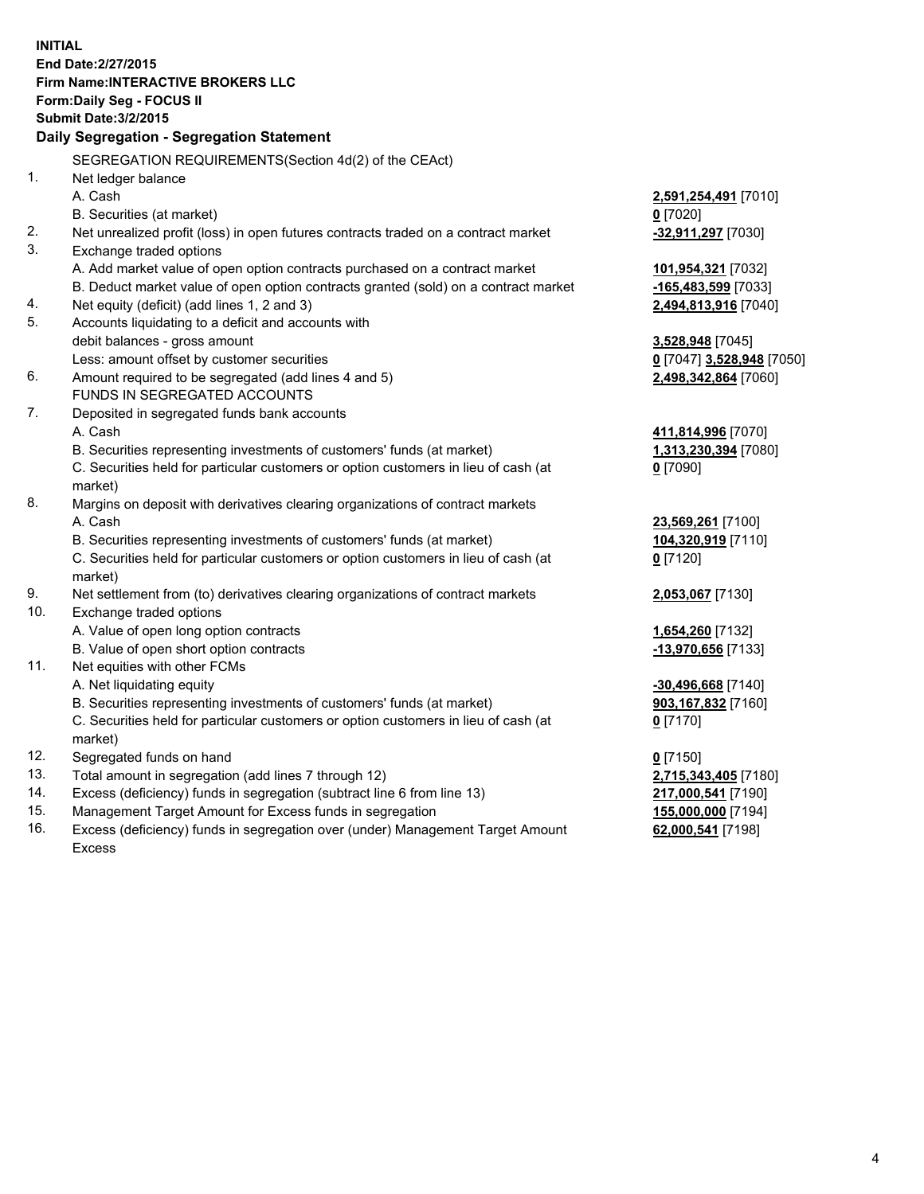**INITIAL End Date:2/27/2015 Firm Name:INTERACTIVE BROKERS LLC Form:Daily Seg - FOCUS II Submit Date:3/2/2015 Daily Segregation - Segregation Statement** SEGREGATION REQUIREMENTS(Section 4d(2) of the CEAct) 1. Net ledger balance A. Cash **2,591,254,491** [7010] B. Securities (at market) **0** [7020] 2. Net unrealized profit (loss) in open futures contracts traded on a contract market **-32,911,297** [7030] 3. Exchange traded options A. Add market value of open option contracts purchased on a contract market **101,954,321** [7032] B. Deduct market value of open option contracts granted (sold) on a contract market **-165,483,599** [7033] 4. Net equity (deficit) (add lines 1, 2 and 3) **2,494,813,916** [7040] 5. Accounts liquidating to a deficit and accounts with debit balances - gross amount **3,528,948** [7045] Less: amount offset by customer securities **0** [7047] **3,528,948** [7050] 6. Amount required to be segregated (add lines 4 and 5) **2,498,342,864** [7060] FUNDS IN SEGREGATED ACCOUNTS 7. Deposited in segregated funds bank accounts A. Cash **411,814,996** [7070] B. Securities representing investments of customers' funds (at market) **1,313,230,394** [7080] C. Securities held for particular customers or option customers in lieu of cash (at market) **0** [7090] 8. Margins on deposit with derivatives clearing organizations of contract markets A. Cash **23,569,261** [7100] B. Securities representing investments of customers' funds (at market) **104,320,919** [7110] C. Securities held for particular customers or option customers in lieu of cash (at market) **0** [7120] 9. Net settlement from (to) derivatives clearing organizations of contract markets **2,053,067** [7130] 10. Exchange traded options A. Value of open long option contracts **1,654,260** [7132] B. Value of open short option contracts **-13,970,656** [7133] 11. Net equities with other FCMs A. Net liquidating equity **-30,496,668** [7140] B. Securities representing investments of customers' funds (at market) **903,167,832** [7160] C. Securities held for particular customers or option customers in lieu of cash (at market) **0** [7170] 12. Segregated funds on hand **0** [7150] 13. Total amount in segregation (add lines 7 through 12) **2,715,343,405** [7180] 14. Excess (deficiency) funds in segregation (subtract line 6 from line 13) **217,000,541** [7190] 15. Management Target Amount for Excess funds in segregation **155,000,000** [7194]

16. Excess (deficiency) funds in segregation over (under) Management Target Amount Excess

**62,000,541** [7198]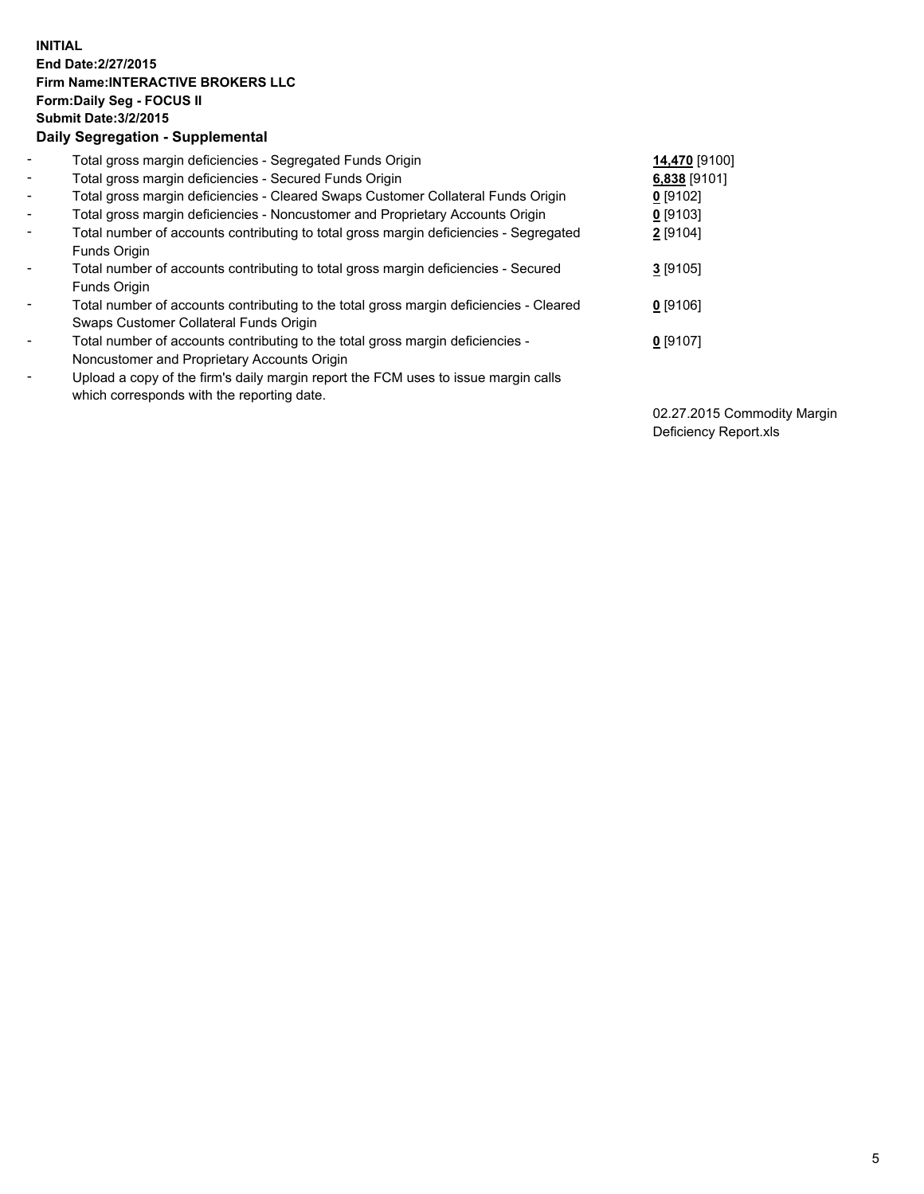## **INITIAL End Date:2/27/2015 Firm Name:INTERACTIVE BROKERS LLC Form:Daily Seg - FOCUS II Submit Date:3/2/2015 Daily Segregation - Supplemental**

| $\blacksquare$           | Total gross margin deficiencies - Segregated Funds Origin                              | 14,470 [9100] |
|--------------------------|----------------------------------------------------------------------------------------|---------------|
| $\blacksquare$           | Total gross margin deficiencies - Secured Funds Origin                                 | 6,838 [9101]  |
| $\blacksquare$           | Total gross margin deficiencies - Cleared Swaps Customer Collateral Funds Origin       | $0$ [9102]    |
| $\blacksquare$           | Total gross margin deficiencies - Noncustomer and Proprietary Accounts Origin          | $0$ [9103]    |
| $\blacksquare$           | Total number of accounts contributing to total gross margin deficiencies - Segregated  | 2 [9104]      |
|                          | Funds Origin                                                                           |               |
| $\overline{\phantom{a}}$ | Total number of accounts contributing to total gross margin deficiencies - Secured     | $3$ [9105]    |
|                          | Funds Origin                                                                           |               |
| -                        | Total number of accounts contributing to the total gross margin deficiencies - Cleared | $0$ [9106]    |
|                          | Swaps Customer Collateral Funds Origin                                                 |               |
| ۰                        | Total number of accounts contributing to the total gross margin deficiencies -         | $0$ [9107]    |
|                          | Noncustomer and Proprietary Accounts Origin                                            |               |
| $\overline{\phantom{a}}$ | Upload a copy of the firm's daily margin report the FCM uses to issue margin calls     |               |
|                          | which corresponds with the reporting date.                                             |               |

02.27.2015 Commodity Margin Deficiency Report.xls